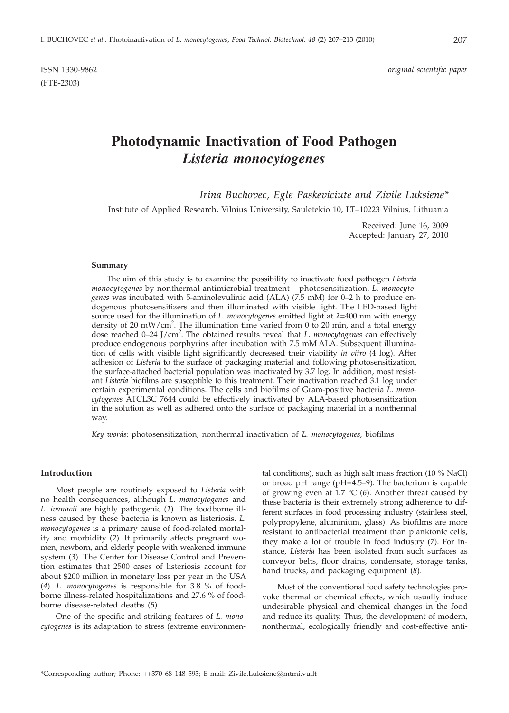(FTB-2303)

# **Photodynamic Inactivation of Food Pathogen** *Listeria monocytogenes*

*Irina Buchovec, Egle Paskeviciute and Zivile Luksiene\**

Institute of Applied Research, Vilnius University, Sauletekio 10, LT–10223 Vilnius, Lithuania

Received: June 16, 2009 Accepted: January 27, 2010

#### **Summary**

The aim of this study is to examine the possibility to inactivate food pathogen *Listeria monocytogenes* by nonthermal antimicrobial treatment – photosensitization. *L. monocytogenes* was incubated with 5-aminolevulinic acid (ALA) (7.5 mM) for 0–2 h to produce endogenous photosensitizers and then illuminated with visible light. The LED-based light source used for the illumination of *L. monocytogenes* emitted light at  $\lambda$ =400 nm with energy density of 20 mW/cm<sup>2</sup>. The illumination time varied from 0 to 20 min, and a total energy dose reached 0-24 J/cm<sup>2</sup>. The obtained results reveal that *L. monocytogenes* can effectively produce endogenous porphyrins after incubation with 7.5 mM ALA. Subsequent illumination of cells with visible light significantly decreased their viability *in vitro* (4 log). After adhesion of *Listeria* to the surface of packaging material and following photosensitization, the surface-attached bacterial population was inactivated by 3.7 log. In addition, most resistant *Listeria* biofilms are susceptible to this treatment. Their inactivation reached 3.1 log under certain experimental conditions. The cells and biofilms of Gram-positive bacteria *L. monocytogenes* ATCL3C 7644 could be effectively inactivated by ALA-based photosensitization in the solution as well as adhered onto the surface of packaging material in a nonthermal way.

*Key words*: photosensitization, nonthermal inactivation of *L. monocytogenes,* biofilms

## **Introduction**

Most people are routinely exposed to *Listeria* with no health consequences, although *L. monocytogenes* and *L. ivanovii* are highly pathogenic (*1*). The foodborne illness caused by these bacteria is known as listeriosis. *L. monocytogenes* is a primary cause of food-related mortality and morbidity (*2*). It primarily affects pregnant women, newborn, and elderly people with weakened immune system (*3*). The Center for Disease Control and Prevention estimates that 2500 cases of listeriosis account for about \$200 million in monetary loss per year in the USA (*4*). *L. monocytogenes* is responsible for 3.8 % of foodborne illness-related hospitalizations and 27.6 % of foodborne disease-related deaths (*5*).

One of the specific and striking features of *L. monocytogenes* is its adaptation to stress (extreme environmen-

tal conditions), such as high salt mass fraction (10 % NaCl) or broad pH range (pH=4.5–9). The bacterium is capable of growing even at 1.7 °C (*6*). Another threat caused by these bacteria is their extremely strong adherence to different surfaces in food processing industry (stainless steel, polypropylene, aluminium, glass). As biofilms are more resistant to antibacterial treatment than planktonic cells, they make a lot of trouble in food industry (*7*). For instance, *Listeria* has been isolated from such surfaces as conveyor belts, floor drains, condensate, storage tanks, hand trucks, and packaging equipment (*8*).

Most of the conventional food safety technologies provoke thermal or chemical effects, which usually induce undesirable physical and chemical changes in the food and reduce its quality. Thus, the development of modern, nonthermal, ecologically friendly and cost-effective anti-

<sup>\*</sup>Corresponding author; Phone: ++370 68 148 593; E-mail: Zivile.Luksiene@mtmi.vu.lt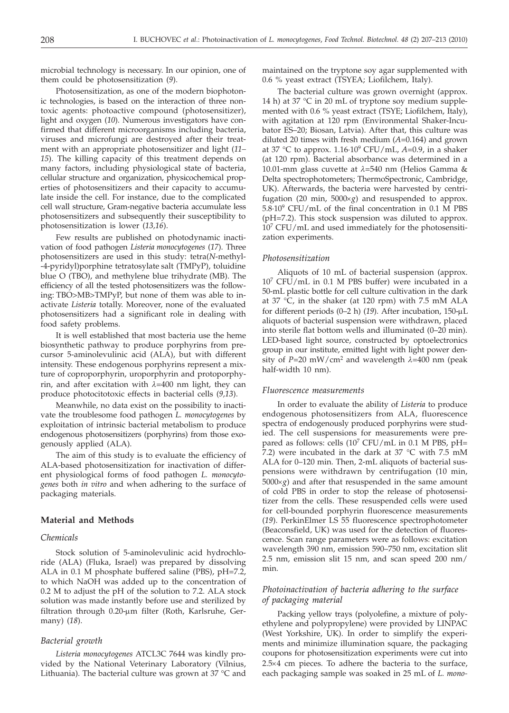microbial technology is necessary. In our opinion, one of them could be photosensitization (*9*).

Photosensitization, as one of the modern biophotonic technologies, is based on the interaction of three nontoxic agents: photoactive compound (photosensitizer), light and oxygen (*10*). Numerous investigators have confirmed that different microorganisms including bacteria, viruses and microfungi are destroyed after their treatment with an appropriate photosensitizer and light (*11– 15*). The killing capacity of this treatment depends on many factors, including physiological state of bacteria, cellular structure and organization, physicochemical properties of photosensitizers and their capacity to accumulate inside the cell. For instance, due to the complicated cell wall structure, Gram-negative bacteria accumulate less photosensitizers and subsequently their susceptibility to photosensitization is lower (*13,16*).

Few results are published on photodynamic inactivation of food pathogen *Listeria monocytogenes* (*17*). Three photosensitizers are used in this study: tetra(*N*-methyl- -4-pyridyl)porphine tetratosylate salt (TMPyP), toluidine blue O (TBO), and methylene blue trihydrate (MB). The efficiency of all the tested photosensitizers was the following: TBO>MB>TMPyP, but none of them was able to inactivate *Listeria* totally. Moreover, none of the evaluated photosensitizers had a significant role in dealing with food safety problems.

It is well established that most bacteria use the heme biosynthetic pathway to produce porphyrins from precursor 5-aminolevulinic acid (ALA), but with different intensity. These endogenous porphyrins represent a mixture of coproporphyrin, uroporphyrin and protoporphyrin, and after excitation with *l*=400 nm light, they can produce photocitotoxic effects in bacterial cells (*9,13*).

Meanwhile, no data exist on the possibility to inactivate the troublesome food pathogen *L. monocytogenes* by exploitation of intrinsic bacterial metabolism to produce endogenous photosensitizers (porphyrins) from those exogenously applied (ALA).

The aim of this study is to evaluate the efficiency of ALA-based photosensitization for inactivation of different physiological forms of food pathogen *L. monocytogenes* both *in vitro* and when adhering to the surface of packaging materials.

## **Material and Methods**

## *Chemicals*

Stock solution of 5-aminolevulinic acid hydrochloride (ALA) (Fluka, Israel) was prepared by dissolving ALA in 0.1 M phosphate buffered saline (PBS), pH=7.2, to which NaOH was added up to the concentration of 0.2 M to adjust the pH of the solution to 7.2. ALA stock solution was made instantly before use and sterilized by filtration through 0.20-µm filter (Roth, Karlsruhe, Germany) (*18*).

#### *Bacterial growth*

*Listeria monocytogenes* ATCL3C 7644 was kindly provided by the National Veterinary Laboratory (Vilnius, Lithuania). The bacterial culture was grown at 37 °C and

maintained on the tryptone soy agar supplemented with 0.6 % yeast extract (TSYEA; Liofilchem, Italy).

The bacterial culture was grown overnight (approx. 14 h) at 37 °C in 20 mL of tryptone soy medium supplemented with 0.6 % yeast extract (TSYE; Liofilchem, Italy), with agitation at 120 rpm (Environmental Shaker-Incubator ES–20; Biosan, Latvia). After that, this culture was diluted 20 times with fresh medium (*A*=0.164) and grown at 37 °C to approx.  $1.16 \cdot 10^9$  CFU/mL,  $A=0.9$ , in a shaker (at 120 rpm). Bacterial absorbance was determined in a 10.01-mm glass cuvette at *l*=540 nm (Helios Gamma & Delta spectrophotometers; ThermoSpectronic, Cambridge, UK). Afterwards, the bacteria were harvested by centrifugation (20 min,  $5000 \times g$ ) and resuspended to approx. 5.8·109 CFU/mL of the final concentration in 0.1 M PBS (pH=7.2). This stock suspension was diluted to approx. 107 CFU/mL and used immediately for the photosensitization experiments.

#### *Photosensitization*

Aliquots of 10 mL of bacterial suspension (approx.  $10^7$  CFU/mL in 0.1 M PBS buffer) were incubated in a 50-mL plastic bottle for cell culture cultivation in the dark at 37 °C, in the shaker (at 120 rpm) with 7.5 mM ALA for different periods (0–2 h) (19). After incubation, 150-μL aliquots of bacterial suspension were withdrawn, placed into sterile flat bottom wells and illuminated (0–20 min). LED-based light source, constructed by optoelectronics group in our institute, emitted light with light power density of  $P=20$  mW/cm<sup>2</sup> and wavelength  $\lambda=400$  nm (peak half-width 10 nm).

## *Fluorescence measurements*

In order to evaluate the ability of *Listeria* to produce endogenous photosensitizers from ALA, fluorescence spectra of endogenously produced porphyrins were studied. The cell suspensions for measurements were prepared as follows: cells  $(10^7 \text{ CFU/mL}$  in 0.1 M PBS, pH= 7.2) were incubated in the dark at 37 °C with 7.5 mM ALA for 0–120 min. Then, 2-mL aliquots of bacterial suspensions were withdrawn by centrifugation (10 min,  $5000\times g$ ) and after that resuspended in the same amount of cold PBS in order to stop the release of photosensitizer from the cells. These resuspended cells were used for cell-bounded porphyrin fluorescence measurements (*19*). PerkinElmer LS 55 fluorescence spectrophotometer (Beaconsfield, UK) was used for the detection of fluorescence. Scan range parameters were as follows: excitation wavelength 390 nm, emission 590–750 nm, excitation slit 2.5 nm, emission slit 15 nm, and scan speed 200 nm/ min.

# *Photoinactivation of bacteria adhering to the surface of packaging material*

Packing yellow trays (polyolefine, a mixture of polyethylene and polypropylene) were provided by LINPAC (West Yorkshire, UK). In order to simplify the experiments and minimize illumination square, the packaging coupons for photosensitization experiments were cut into  $2.5\times4$  cm pieces. To adhere the bacteria to the surface, each packaging sample was soaked in 25 mL of *L. mono-*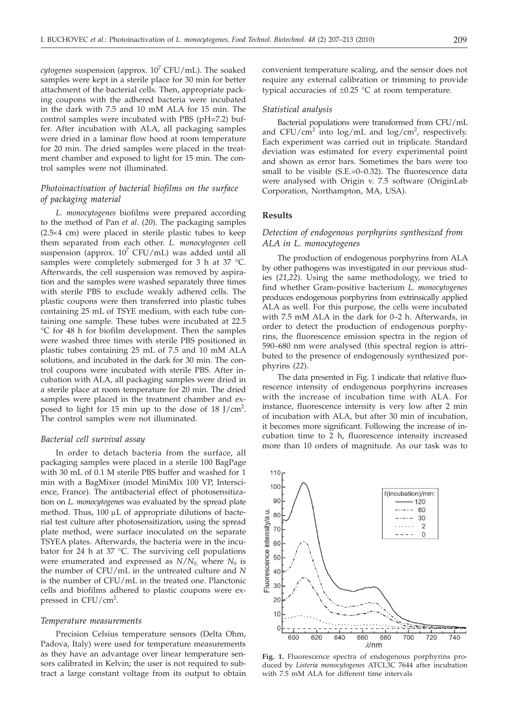$cytogenesis$  suspension (approx.  $10<sup>7</sup> CFU/mL$ ). The soaked samples were kept in a sterile place for 30 min for better attachment of the bacterial cells. Then, appropriate packing coupons with the adhered bacteria were incubated in the dark with 7.5 and 10 mM ALA for 15 min. The control samples were incubated with PBS (pH=7.2) buffer. After incubation with ALA, all packaging samples were dried in a laminar flow hood at room temperature for 20 min. The dried samples were placed in the treatment chamber and exposed to light for 15 min. The control samples were not illuminated.

# *Photoinactivation of bacterial biofilms on the surface of packaging material*

*L. monocytogenes* biofilms were prepared according to the method of Pan *et al*. (*20*). The packaging samples  $(2.5×4 cm)$  were placed in sterile plastic tubes to keep them separated from each other. *L. monocytogenes* cell suspension (approx.  $10^7$  CFU/mL) was added until all samples were completely submerged for 3 h at 37 °C. Afterwards, the cell suspension was removed by aspiration and the samples were washed separately three times with sterile PBS to exclude weakly adhered cells. The plastic coupons were then transferred into plastic tubes containing 25 mL of TSYE medium, with each tube containing one sample. These tubes were incubated at 22.5 °C for 48 h for biofilm development. Then the samples were washed three times with sterile PBS positioned in plastic tubes containing 25 mL of 7.5 and 10 mM ALA solutions, and incubated in the dark for 30 min. The control coupons were incubated with sterile PBS. After incubation with ALA, all packaging samples were dried in a sterile place at room temperature for 20 min. The dried samples were placed in the treatment chamber and exposed to light for 15 min up to the dose of 18 J/cm<sup>2</sup>. The control samples were not illuminated.

#### *Bacterial cell survival assay*

In order to detach bacteria from the surface, all packaging samples were placed in a sterile 100 BagPage with 30 mL of 0.1 M sterile PBS buffer and washed for 1 min with a BagMixer (model MiniMix 100 VP, Interscience, France). The antibacterial effect of photosensitization on *L. monocytogenes* was evaluated by the spread plate method. Thus,  $100 \mu L$  of appropriate dilutions of bacterial test culture after photosensitization, using the spread plate method, were surface inoculated on the separate TSYEA plates. Afterwards, the bacteria were in the incubator for 24 h at 37 °C. The surviving cell populations were enumerated and expressed as  $N/N_0$ , where  $N_0$  is the number of CFU/mL in the untreated culture and *N* is the number of CFU/mL in the treated one. Planctonic cells and biofilms adhered to plastic coupons were expressed in CFU/cm<sup>2</sup>.

#### *Temperature measurements*

Precision Celsius temperature sensors (Delta Ohm, Padova, Italy) were used for temperature measurements as they have an advantage over linear temperature sensors calibrated in Kelvin; the user is not required to subtract a large constant voltage from its output to obtain convenient temperature scaling, and the sensor does not require any external calibration or trimming to provide typical accuracies of  $\pm 0.25$  °C at room temperature.

# *Statistical analysis*

Bacterial populations were transformed from CFU/mL and CFU/cm<sup>2</sup> into log/mL and log/cm<sup>2</sup>, respectively. Each experiment was carried out in triplicate. Standard deviation was estimated for every experimental point and shown as error bars. Sometimes the bars were too small to be visible (S.E.=0–0.32). The fluorescence data were analysed with Origin v. 7.5 software (OriginLab Corporation, Northampton, MA, USA).

# **Results**

# *Detection of endogenous porphyrins synthesized from ALA in L. monocytogenes*

The production of endogenous porphyrins from ALA by other pathogens was investigated in our previous studies (*21*,*22*). Using the same methodology, we tried to find whether Gram-positive bacterium *L. monocytogenes* produces endogenous porphyrins from extrinsically applied ALA as well. For this purpose, the cells were incubated with 7.5 mM ALA in the dark for 0–2 h. Afterwards, in order to detect the production of endogenous porphyrins, the fluorescence emission spectra in the region of 590–680 nm were analysed (this spectral region is attributed to the presence of endogenously synthesized porphyrins (*22*).

The data presented in Fig. 1 indicate that relative fluorescence intensity of endogenous porphyrins increases with the increase of incubation time with ALA. For instance, fluorescence intensity is very low after 2 min of incubation with ALA, but after 30 min of incubation, it becomes more significant. Following the increase of incubation time to 2 h, fluorescence intensity increased more than 10 orders of magnitude. As our task was to

**Fig. 1.** Fluorescence spectra of endogenous porphyrins produced by *Listeria monocytogenes* ATCL3C 7644 after incubation with 7.5 mM ALA for different time intervals

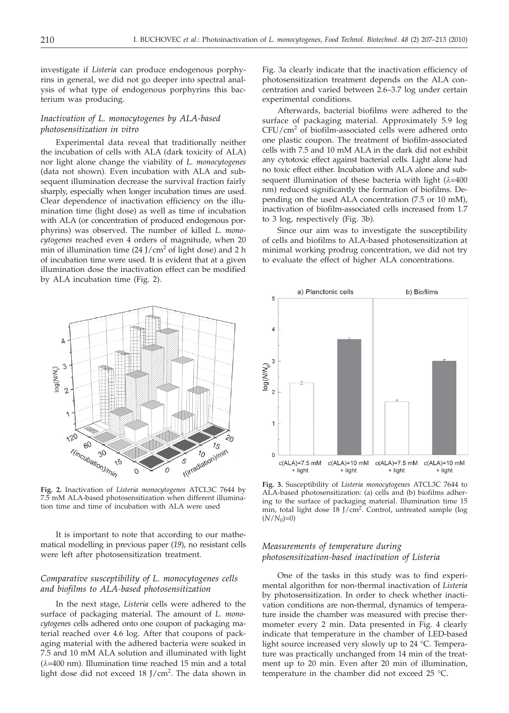investigate if *Listeria* can produce endogenous porphyrins in general, we did not go deeper into spectral analysis of what type of endogenous porphyrins this bacterium was producing.

# *Inactivation of L. monocytogenes by ALA-based photosensitization in vitro*

Experimental data reveal that traditionally neither the incubation of cells with ALA (dark toxicity of ALA) nor light alone change the viability of *L. monocytogenes* (data not shown). Even incubation with ALA and subsequent illumination decrease the survival fraction fairly sharply, especially when longer incubation times are used. Clear dependence of inactivation efficiency on the illumination time (light dose) as well as time of incubation with ALA (or concentration of produced endogenous porphyrins) was observed. The number of killed *L. monocytogenes* reached even 4 orders of magnitude, when 20 min of illumination time  $(24$  J/cm<sup>2</sup> of light dose) and 2 h of incubation time were used. It is evident that at a given illumination dose the inactivation effect can be modified by ALA incubation time (Fig. 2).

Fig. 3a clearly indicate that the inactivation efficiency of photosensitization treatment depends on the ALA concentration and varied between 2.6–3.7 log under certain experimental conditions.

Afterwards, bacterial biofilms were adhered to the surface of packaging material. Approximately 5.9 log  $CFU/cm<sup>2</sup>$  of biofilm-associated cells were adhered onto one plastic coupon. The treatment of biofilm-associated cells with 7.5 and 10 mM ALA in the dark did not exhibit any cytotoxic effect against bacterial cells. Light alone had no toxic effect either. Incubation with ALA alone and subsequent illumination of these bacteria with light  $(\lambda=400)$ nm) reduced significantly the formation of biofilms. Depending on the used ALA concentration (7.5 or 10 mM), inactivation of biofilm-associated cells increased from 1.7 to 3 log, respectively (Fig. 3b).

Since our aim was to investigate the susceptibility of cells and biofilms to ALA-based photosensitization at minimal working prodrug concentration, we did not try to evaluate the effect of higher ALA concentrations.



**Fig. 2.** Inactivation of *Listeria monocytogenes* ATCL3C 7644 by 7.5 mM ALA-based photosensitization when different illumination time and time of incubation with ALA were used

It is important to note that according to our mathematical modelling in previous paper (*19*), no resistant cells were left after photosensitization treatment.

# *Comparative susceptibility of L. monocytogenes cells and biofilms to ALA-based photosensitization*

In the next stage, *Listeria* cells were adhered to the surface of packaging material. The amount of *L. monocytogenes* cells adhered onto one coupon of packaging material reached over 4.6 log. After that coupons of packaging material with the adhered bacteria were soaked in 7.5 and 10 mM ALA solution and illuminated with light (*l*=400 nm). Illumination time reached 15 min and a total light dose did not exceed 18 J/cm<sup>2</sup>. The data shown in



**Fig. 3.** Susceptibility of *Listeria monocytogenes* ATCL3C 7644 to ALA-based photosensitization: (a) cells and (b) biofilms adhering to the surface of packaging material. Illumination time 15 min, total light dose 18 J/cm2. Control, untreated sample (log  $(N/N_0)=0$ )

# *Measurements of temperature during photosensitization-based inactivation of Listeria*

One of the tasks in this study was to find experimental algorithm for non-thermal inactivation of *Listeria* by photosensitization. In order to check whether inactivation conditions are non-thermal, dynamics of temperature inside the chamber was measured with precise thermometer every 2 min. Data presented in Fig. 4 clearly indicate that temperature in the chamber of LED-based light source increased very slowly up to 24 °C. Temperature was practically unchanged from 14 min of the treatment up to 20 min. Even after 20 min of illumination, temperature in the chamber did not exceed 25 °C.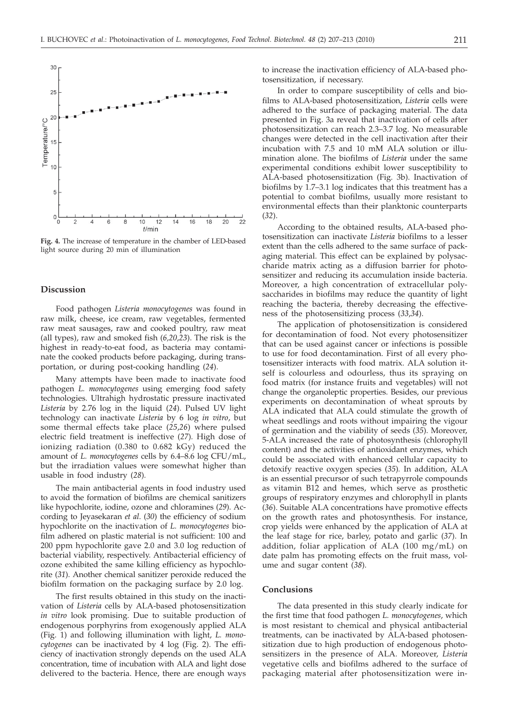

**Fig. 4.** The increase of temperature in the chamber of LED-based light source during 20 min of illumination

#### **Discussion**

Food pathogen *Listeria monocytogenes* was found in raw milk, cheese, ice cream, raw vegetables, fermented raw meat sausages, raw and cooked poultry, raw meat (all types), raw and smoked fish (*6,20*,*23*). The risk is the highest in ready-to-eat food, as bacteria may contaminate the cooked products before packaging, during transportation, or during post-cooking handling (*24*).

Many attempts have been made to inactivate food pathogen *L. monocytogenes* using emerging food safety technologies. Ultrahigh hydrostatic pressure inactivated *Listeria* by 2.76 log in the liquid (*24*). Pulsed UV light technology can inactivate *Listeria* by 6 log *in vitro*, but some thermal effects take place (*25*,*26*) where pulsed electric field treatment is ineffective (*27*)*.* High dose of ionizing radiation (0.380 to 0.682 kGy) reduced the amount of *L. monocytogenes* cells by 6.4–8.6 log CFU/mL, but the irradiation values were somewhat higher than usable in food industry (*28*)*.*

The main antibacterial agents in food industry used to avoid the formation of biofilms are chemical sanitizers like hypochlorite, iodine, ozone and chloramines (*29*). According to Jeyasekaran *et al*. (*30*) the efficiency of sodium hypochlorite on the inactivation of *L. monocytogenes* biofilm adhered on plastic material is not sufficient: 100 and 200 ppm hypochlorite gave 2.0 and 3.0 log reduction of bacterial viability, respectively. Antibacterial efficiency of ozone exhibited the same killing efficiency as hypochlorite (*31*). Another chemical sanitizer peroxide reduced the biofilm formation on the packaging surface by 2.0 log.

The first results obtained in this study on the inactivation of *Listeria* cells by ALA-based photosensitization *in vitro* look promising. Due to suitable production of endogenous porphyrins from exogenously applied ALA (Fig. 1) and following illumination with light, *L. monocytogenes* can be inactivated by 4 log (Fig. 2). The efficiency of inactivation strongly depends on the used ALA concentration, time of incubation with ALA and light dose delivered to the bacteria. Hence, there are enough ways to increase the inactivation efficiency of ALA-based photosensitization, if necessary.

In order to compare susceptibility of cells and biofilms to ALA-based photosensitization, *Listeria* cells were adhered to the surface of packaging material. The data presented in Fig. 3a reveal that inactivation of cells after photosensitization can reach 2.3–3.7 log. No measurable changes were detected in the cell inactivation after their incubation with 7.5 and 10 mM ALA solution or illumination alone. The biofilms of *Listeria* under the same experimental conditions exhibit lower susceptibility to ALA-based photosensitization (Fig. 3b). Inactivation of biofilms by 1.7–3.1 log indicates that this treatment has a potential to combat biofilms, usually more resistant to environmental effects than their planktonic counterparts (*32*).

According to the obtained results, ALA-based photosensitization can inactivate *Listeria* biofilms to a lesser extent than the cells adhered to the same surface of packaging material. This effect can be explained by polysaccharide matrix acting as a diffusion barrier for photosensitizer and reducing its accumulation inside bacteria. Moreover, a high concentration of extracellular polysaccharides in biofilms may reduce the quantity of light reaching the bacteria, thereby decreasing the effectiveness of the photosensitizing process (*33*,*34*).

The application of photosensitization is considered for decontamination of food. Not every photosensitizer that can be used against cancer or infections is possible to use for food decontamination. First of all every photosensitizer interacts with food matrix. ALA solution itself is colourless and odourless, thus its spraying on food matrix (for instance fruits and vegetables) will not change the organoleptic properties. Besides, our previous experiments on decontamination of wheat sprouts by ALA indicated that ALA could stimulate the growth of wheat seedlings and roots without impairing the vigour of germination and the viability of seeds (*35*). Moreover, 5-ALA increased the rate of photosynthesis (chlorophyll content) and the activities of antioxidant enzymes, which could be associated with enhanced cellular capacity to detoxify reactive oxygen species (*35*)*.* In addition, ALA is an essential precursor of such tetrapyrrole compounds as vitamin B12 and hemes, which serve as prosthetic groups of respiratory enzymes and chlorophyll in plants (*36*). Suitable ALA concentrations have promotive effects on the growth rates and photosynthesis. For instance, crop yields were enhanced by the application of ALA at the leaf stage for rice, barley, potato and garlic (*37*). In addition, foliar application of ALA (100 mg/mL) on date palm has promoting effects on the fruit mass, volume and sugar content (*38*).

#### **Conclusions**

The data presented in this study clearly indicate for the first time that food pathogen *L. monocytogenes*, which is most resistant to chemical and physical antibacterial treatments, can be inactivated by ALA-based photosensitization due to high production of endogenous photosensitizers in the presence of ALA. Moreover, *Listeria* vegetative cells and biofilms adhered to the surface of packaging material after photosensitization were in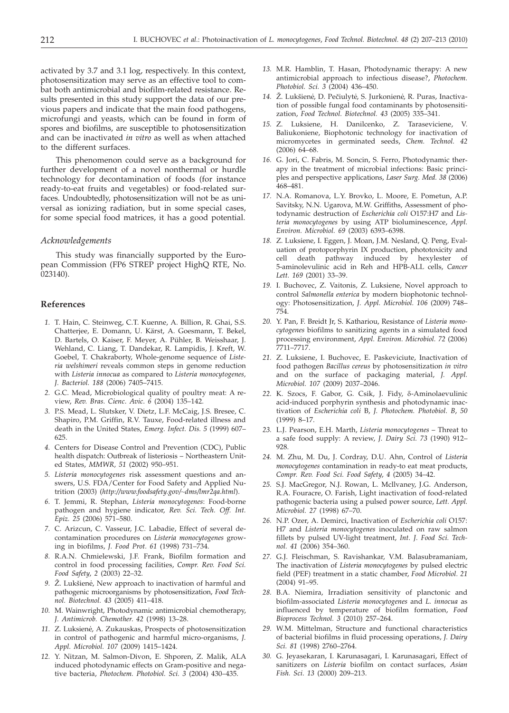activated by 3.7 and 3.1 log, respectively. In this context, photosensitization may serve as an effective tool to combat both antimicrobial and biofilm-related resistance. Results presented in this study support the data of our previous papers and indicate that the main food pathogens, microfungi and yeasts, which can be found in form of spores and biofilms, are susceptible to photosensitization and can be inactivated *in vitro* as well as when attached to the different surfaces.

This phenomenon could serve as a background for further development of a novel nonthermal or hurdle technology for decontamination of foods (for instance ready-to-eat fruits and vegetables) or food-related surfaces. Undoubtedly, photosensitization will not be as universal as ionizing radiation, but in some special cases, for some special food matrices, it has a good potential.

#### *Acknowledgements*

This study was financially supported by the European Commission (FP6 STREP project HighQ RTE, No. 023140).

## **References**

- *1.* T. Hain, C. Steinweg, C.T. Kuenne, A. Billion, R. Ghai, S.S. Chatterjee, E. Domann, U. Kärst, A. Goesmann, T. Bekel, D. Bartels, O. Kaiser, F. Meyer, A. Pühler, B. Weisshaar, J. Wehland, C. Liang, T. Dandekar, R. Lampidis, J. Kreft, W. Goebel, T. Chakraborty, Whole-genome sequence of *Listeria welshimeri* reveals common steps in genome reduction with *Listeria innocua* as compared to *Listeria monocytogenes, J. Bacteriol. 188* (2006) 7405–7415.
- *2.* G.C. Mead, Microbiological quality of poultry meat: A review, *Rev. Bras. Cienc*. *Avic*. *6* (2004) 135–142.
- *3.* P.S. Mead, L. Slutsker, V. Dietz, L.F. McCaig, J.S. Bresee, C. Shapiro, P.M. Griffin, R.V. Tauxe, Food-related illness and death in the United States, *Emerg. Infect. Dis. 5* (1999) 607– 625.
- *4.* Centers for Disease Control and Prevention (CDC), Public health dispatch: Outbreak of listeriosis – Northeastern United States, *MMWR, 51* (2002) 950–951.
- *5. Listeria monocytogenes* risk assessment questions and answers, U.S. FDA/Center for Food Safety and Applied Nutrition (2003) (*http://www.foodsafety.gov/~dms/lmr2qa.html*).
- *6.* T. Jemmi, R. Stephan, *Listeria monocytogenes*: Food-borne pathogen and hygiene indicator, *Rev. Sci. Tech. Off. Int. Epiz. 25* (2006) 571–580.
- *7.* C. Arizcun, C. Vasseur, J.C. Labadie, Effect of several decontamination procedures on *Listeria monocytogenes* growing in biofilms, *J. Food Prot. 61* (1998) 731–734.
- *8.* R.A.N. Chmielewski, J.F. Frank, Biofilm formation and control in food processing facilities, *Compr. Rev. Food Sci. Food Safety*, *2* (2003) 22–32.
- 9. Ž. Lukšienė, New approach to inactivation of harmful and pathogenic microorganisms by photosensitization, *Food Technol. Biotechnol. 43* (2005) 411–418.
- *10.* M. Wainwright, Photodynamic antimicrobial chemotherapy, *J. Antimicrob. Chemother*. *42* (1998) 13–28.
- 11. Z. Luksienė, A. Zukauskas, Prospects of photosensitization in control of pathogenic and harmful micro-organisms, *J. Appl. Microbiol. 107* (2009) 1415–1424.
- *12.* Y. Nitzan, M. Salmon-Divon, E. Shporen, Z. Malik, ALA induced photodynamic effects on Gram-positive and negative bacteria, *Photochem. Photobiol. Sci. 3* (2004) 430–435.
- *13.* M.R. Hamblin, T. Hasan, Photodynamic therapy: A new antimicrobial approach to infectious disease?, *Photochem. Photobiol. Sci. 3* (2004) 436–450.
- 14. Ž. Lukšienė, D. Pečiulytė, S. Jurkonienė, R. Puras, Inactivation of possible fungal food contaminants by photosensitization, *Food Technol. Biotechnol. 43* (2005) 335–341.
- *15.* Z. Luksiene, H. Danilcenko, Z. Taraseviciene, V. Baliukoniene, Biophotonic technology for inactivation of micromycetes in germinated seeds, *Chem. Technol. 42* (2006) 64–68.
- *16.* G. Jori, C. Fabris, M. Soncin, S. Ferro, Photodynamic therapy in the treatment of microbial infections: Basic principles and perspective applications, *Laser Surg. Med. 38* (2006) 468–481.
- *17.* N.A. Romanova, L.Y. Brovko, L. Moore, E. Pometun, A.P. Savitsky, N.N. Ugarova, M.W. Griffiths, Assessment of photodynamic destruction of *Escherichia coli* O157:H7 and *Listeria monocytogenes* by using ATP bioluminescence, *Appl. Environ. Microbiol. 69* (2003) 6393–6398.
- *18.* Z. Luksiene, I. Eggen, J. Moan, J.M. Nesland, Q. Peng, Evaluation of protoporphyrin IX production, phototoxicity and cell death pathway induced by hexylester of 5-aminolevulinic acid in Reh and HPB-ALL cells, *Cancer Lett. 169* (2001) 33–39.
- *19.* I. Buchovec, Z. Vaitonis, Z. Luksiene, Novel approach to control *Salmonella enterica* by modern biophotonic technology: Photosensitization, *J. Appl. Microbiol. 106* (2009) 748– 754.
- *20.* Y. Pan, F. Breidt Jr, S. Kathariou, Resistance of *Listeria monocytogenes* biofilms to sanitizing agents in a simulated food processing environment, *Appl. Environ. Microbiol. 72* (2006) 7711–7717.
- *21.* Z. Luksiene, I. Buchovec, E. Paskeviciute, Inactivation of food pathogen *Bacillus cereus* by photosensitization *in vitro* and on the surface of packaging material, *J. Appl. Microbiol. 107* (2009) 2037–2046.
- *22.* K. Szocs, F. Gabor, G. Csik, J. Fidy, d-Aminolaevulinic acid-induced porphyrin synthesis and photodynamic inactivation of *Escherichia coli* B, *J. Photochem. Photobiol. B*, *50* (1999) 8–17.
- *23.* L.J. Pearson, E.H. Marth, *Listeria monocytogenes* Threat to a safe food supply: A review, *J. Dairy Sci. 73* (1990) 912– 928.
- *24.* M. Zhu, M. Du, J. Cordray, D.U. Ahn, Control of *Listeria monocytogenes* contamination in ready-to eat meat products, *Compr. Rev. Food Sci. Food Safety*, *4* (2005) 34–42.
- *25.* S.J. MacGregor, N.J. Rowan, L. Mcllvaney, J.G. Anderson, R.A. Fouracre, O. Farish, Light inactivation of food-related pathogenic bacteria using a pulsed power source, *Lett. Appl. Microbiol. 27* (1998) 67–70.
- *26.* N.P. Ozer, A. Demirci, Inactivation of *Escherichia coli* O157: H7 and *Listeria monocytogenes* inoculated on raw salmon fillets by pulsed UV-light treatment, *Int. J. Food Sci. Technol. 41* (2006) 354–360.
- *27.* G.J. Fleischman, S. Ravishankar, V.M. Balasubramaniam, The inactivation of *Listeria monocytogenes* by pulsed electric field (PEF) treatment in a static chamber, *Food Microbiol. 21* (2004) 91–95.
- *28.* B.A. Niemira, Irradiation sensitivity of planctonic and biofilm-associated *Listeria monocytogenes* and *L. innocua* as influenced by temperature of biofilm formation, *Food Bioprocess Technol. 3* (2010) 257–264.
- *29.* W.M. Mittelman, Structure and functional characteristics of bacterial biofilms in fluid processing operations, *J. Dairy Sci. 81* (1998) 2760–2764.
- *30.* G. Jeyasekaran, I. Karunasagari, I. Karunasagari, Effect of sanitizers on *Listeria* biofilm on contact surfaces, *Asian Fish. Sci*. *13* (2000) 209–213.